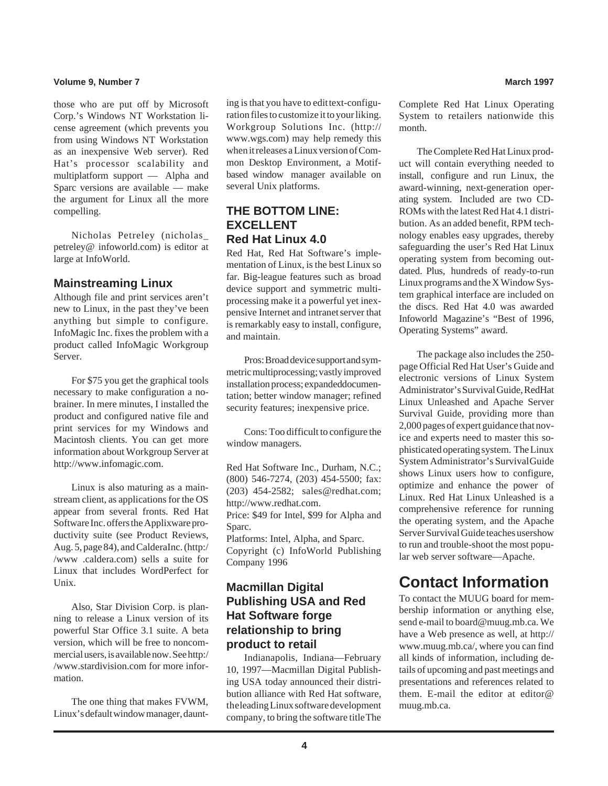## **Volume 9, Number 7 March 1997 March 1997**

those who are put off by Microsoft Corp.'s Windows NT Workstation license agreement (which prevents you from using Windows NT Workstation as an inexpensive Web server). Red Hat's processor scalability and multiplatform support — Alpha and Sparc versions are available — make the argument for Linux all the more compelling.

Nicholas Petreley (nicholas\_ petreley@ infoworld.com) is editor at large at InfoWorld.

## **Mainstreaming Linux**

Although file and print services aren't new to Linux, in the past they've been anything but simple to configure. InfoMagic Inc. fixes the problem with a product called InfoMagic Workgroup Server.

For \$75 you get the graphical tools necessary to make configuration a nobrainer. In mere minutes, I installed the product and configured native file and print services for my Windows and Macintosh clients. You can get more information about Workgroup Server at http://www.infomagic.com.

Linux is also maturing as a mainstream client, as applications for the OS appear from several fronts. Red Hat Software Inc. offers the Applixware productivity suite (see Product Reviews, Aug. 5, page 84), and Caldera Inc. (http:/ /www .caldera.com) sells a suite for Linux that includes WordPerfect for Unix.

Also, Star Division Corp. is planning to release a Linux version of its powerful Star Office 3.1 suite. A beta version, which will be free to noncommercial users, is available now. See http:/ /www.stardivision.com for more information.

The one thing that makes FVWM, Linux's default window manager, daunting is that you have to edit text-configuration files to customize it to your liking. Workgroup Solutions Inc. (http:// www.wgs.com) may help remedy this when it releases a Linux version of Common Desktop Environment, a Motifbased window manager available on several Unix platforms.

## **THE BOTTOM LINE: EXCELLENT Red Hat Linux 4.0**

Red Hat, Red Hat Software's implementation of Linux, is the best Linux so far. Big-league features such as broad device support and symmetric multiprocessing make it a powerful yet inexpensive Internet and intranet server that is remarkably easy to install, configure, and maintain.

Pros: Broad device support and symmetric multiprocessing; vastly improved installation process; expanded documentation; better window manager; refined security features; inexpensive price.

Cons: Too difficult to configure the window managers.

Red Hat Software Inc., Durham, N.C.; (800) 546-7274, (203) 454-5500; fax: (203) 454-2582; sales@redhat.com; http://www.redhat.com. Price: \$49 for Intel, \$99 for Alpha and Sparc.

Platforms: Intel, Alpha, and Sparc. Copyright (c) InfoWorld Publishing Company 1996

## **Macmillan Digital Publishing USA and Red Hat Software forge relationship to bring product to retail**

Indianapolis, Indiana—February 10, 1997—Macmillan Digital Publishing USA today announced their distribution alliance with Red Hat software, the leading Linux software development company, to bring the software title The

Complete Red Hat Linux Operating System to retailers nationwide this month.

The Complete Red Hat Linux product will contain everything needed to install, configure and run Linux, the award-winning, next-generation operating system. Included are two CD-ROMs with the latest Red Hat 4.1 distribution. As an added benefit, RPM technology enables easy upgrades, thereby safeguarding the user's Red Hat Linux operating system from becoming outdated. Plus, hundreds of ready-to-run Linux programs and the X Window System graphical interface are included on the discs. Red Hat 4.0 was awarded Infoworld Magazine's "Best of 1996, Operating Systems" award.

The package also includes the 250 page Official Red Hat User's Guide and electronic versions of Linux System Administrator's Survival Guide, RedHat Linux Unleashed and Apache Server Survival Guide, providing more than 2,000 pages of expert guidance that novice and experts need to master this sophisticated operating system. The Linux System Administrator's Survival Guide shows Linux users how to configure, optimize and enhance the power of Linux. Red Hat Linux Unleashed is a comprehensive reference for running the operating system, and the Apache Server Survival Guide teaches usershow to run and trouble-shoot the most popular web server software—Apache.

# **Contact Information**

To contact the MUUG board for membership information or anything else, send e-mail to board@muug.mb.ca. We have a Web presence as well, at http:// www.muug.mb.ca/, where you can find all kinds of information, including details of upcoming and past meetings and presentations and references related to them. E-mail the editor at editor@ muug.mb.ca.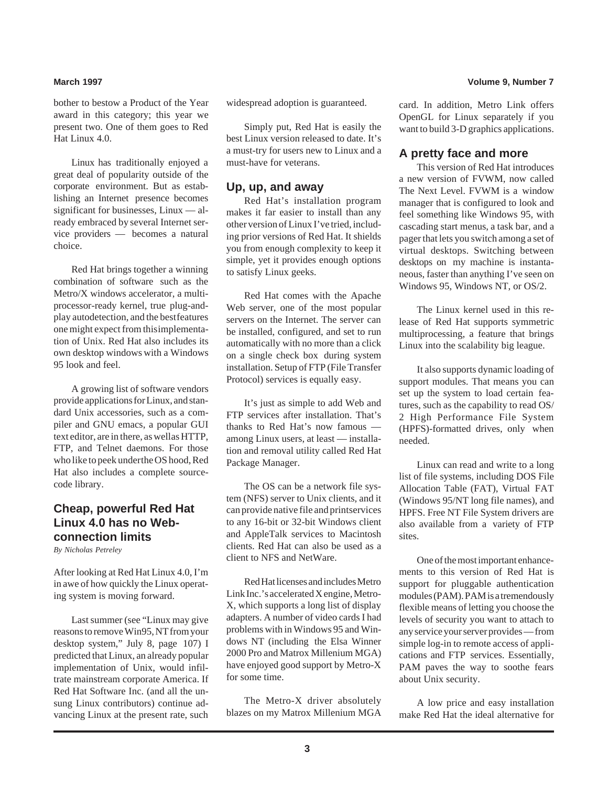bother to bestow a Product of the Year award in this category; this year we present two. One of them goes to Red Hat Linux 4.0.

Linux has traditionally enjoyed a great deal of popularity outside of the corporate environment. But as establishing an Internet presence becomes significant for businesses, Linux — already embraced by several Internet service providers — becomes a natural choice.

Red Hat brings together a winning combination of software such as the Metro/X windows accelerator, a multiprocessor-ready kernel, true plug-andplay autodetection, and the best features one might expect from this implementation of Unix. Red Hat also includes its own desktop windows with a Windows 95 look and feel.

A growing list of software vendors provide applications for Linux, and standard Unix accessories, such as a compiler and GNU emacs, a popular GUI text editor, are in there, as well as HTTP, FTP, and Telnet daemons. For those who like to peek under the OS hood, Red Hat also includes a complete sourcecode library.

## **Cheap, powerful Red Hat Linux 4.0 has no Webconnection limits**

*By Nicholas Petreley*

After looking at Red Hat Linux 4.0, I'm in awe of how quickly the Linux operating system is moving forward.

Last summer (see "Linux may give reasons to remove Win95, NT from your desktop system," July 8, page 107) I predicted that Linux, an already popular implementation of Unix, would infiltrate mainstream corporate America. If Red Hat Software Inc. (and all the unsung Linux contributors) continue advancing Linux at the present rate, such

widespread adoption is guaranteed.

Simply put, Red Hat is easily the best Linux version released to date. It's a must-try for users new to Linux and a must-have for veterans.

## **Up, up, and away**

Red Hat's installation program makes it far easier to install than any other version of Linux I've tried, including prior versions of Red Hat. It shields you from enough complexity to keep it simple, yet it provides enough options to satisfy Linux geeks.

Red Hat comes with the Apache Web server, one of the most popular servers on the Internet. The server can be installed, configured, and set to run automatically with no more than a click on a single check box during system installation. Setup of FTP (File Transfer Protocol) services is equally easy.

It's just as simple to add Web and FTP services after installation. That's thanks to Red Hat's now famous among Linux users, at least — installation and removal utility called Red Hat Package Manager.

The OS can be a network file system (NFS) server to Unix clients, and it can provide native file and printservices to any 16-bit or 32-bit Windows client and AppleTalk services to Macintosh clients. Red Hat can also be used as a client to NFS and NetWare.

Red Hat licenses and includes Metro Link Inc.'s accelerated X engine, Metro-X, which supports a long list of display adapters. A number of video cards I had problems with in Windows 95 and Windows NT (including the Elsa Winner 2000 Pro and Matrox Millenium MGA) have enjoyed good support by Metro-X for some time.

The Metro-X driver absolutely blazes on my Matrox Millenium MGA card. In addition, Metro Link offers OpenGL for Linux separately if you want to build 3-D graphics applications.

## **A pretty face and more**

This version of Red Hat introduces a new version of FVWM, now called The Next Level. FVWM is a window manager that is configured to look and feel something like Windows 95, with cascading start menus, a task bar, and a pager that lets you switch among a set of virtual desktops. Switching between desktops on my machine is instantaneous, faster than anything I've seen on Windows 95, Windows NT, or OS/2.

The Linux kernel used in this release of Red Hat supports symmetric multiprocessing, a feature that brings Linux into the scalability big league.

It also supports dynamic loading of support modules. That means you can set up the system to load certain features, such as the capability to read OS/ 2 High Performance File System (HPFS)-formatted drives, only when needed.

Linux can read and write to a long list of file systems, including DOS File Allocation Table (FAT), Virtual FAT (Windows 95/NT long file names), and HPFS. Free NT File System drivers are also available from a variety of FTP sites.

One of the most important enhancements to this version of Red Hat is support for pluggable authentication modules (PAM). PAM is a tremendously flexible means of letting you choose the levels of security you want to attach to any service your server provides — from simple log-in to remote access of applications and FTP services. Essentially, PAM paves the way to soothe fears about Unix security.

A low price and easy installation make Red Hat the ideal alternative for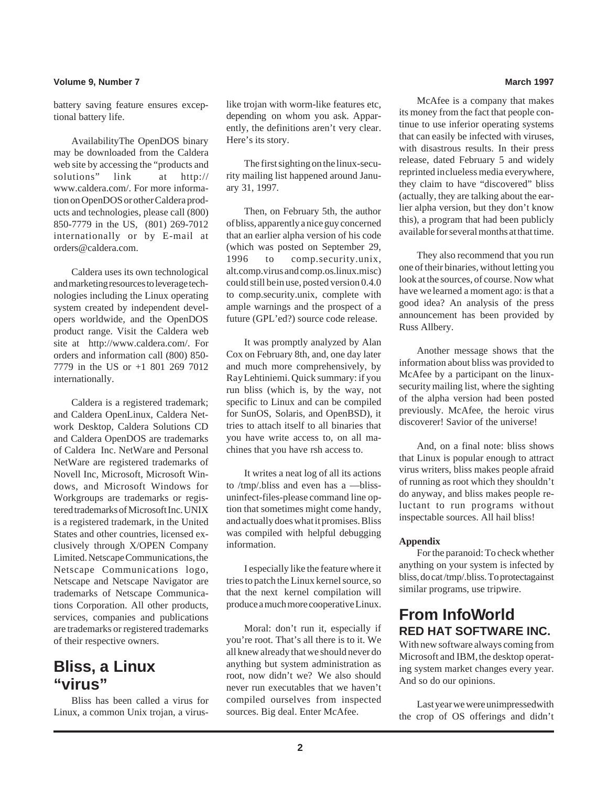## **Volume 9, Number 7 March 1997**

battery saving feature ensures exceptional battery life.

AvailabilityThe OpenDOS binary may be downloaded from the Caldera web site by accessing the "products and solutions" link at http:// www.caldera.com/. For more information on OpenDOS or other Caldera products and technologies, please call (800) 850-7779 in the US, (801) 269-7012 internationally or by E-mail at orders@caldera.com.

Caldera uses its own technological and marketing resources to leverage technologies including the Linux operating system created by independent developers worldwide, and the OpenDOS product range. Visit the Caldera web site at http://www.caldera.com/. For orders and information call (800) 850- 7779 in the US or +1 801 269 7012 internationally.

Caldera is a registered trademark; and Caldera OpenLinux, Caldera Network Desktop, Caldera Solutions CD and Caldera OpenDOS are trademarks of Caldera Inc. NetWare and Personal NetWare are registered trademarks of Novell Inc, Microsoft, Microsoft Windows, and Microsoft Windows for Workgroups are trademarks or registered trademarks of Microsoft Inc. UNIX is a registered trademark, in the United States and other countries, licensed exclusively through X/OPEN Company Limited. Netscape Communications, the Netscape Communications logo, Netscape and Netscape Navigator are trademarks of Netscape Communications Corporation. All other products, services, companies and publications are trademarks or registered trademarks of their respective owners.

## **Bliss, a Linux "virus"**

Bliss has been called a virus for Linux, a common Unix trojan, a virus-

like trojan with worm-like features etc, depending on whom you ask. Apparently, the definitions aren't very clear. Here's its story.

The first sighting on the linux-security mailing list happened around January 31, 1997.

Then, on February 5th, the author of bliss, apparently a nice guy concerned that an earlier alpha version of his code (which was posted on September 29, 1996 to comp.security.unix, alt.comp.virus and comp.os.linux.misc) could still be in use, posted version 0.4.0 to comp.security.unix, complete with ample warnings and the prospect of a future (GPL'ed?) source code release.

It was promptly analyzed by Alan Cox on February 8th, and, one day later and much more comprehensively, by Ray Lehtiniemi. Quick summary: if you run bliss (which is, by the way, not specific to Linux and can be compiled for SunOS, Solaris, and OpenBSD), it tries to attach itself to all binaries that you have write access to, on all machines that you have rsh access to.

It writes a neat log of all its actions to /tmp/.bliss and even has a —blissuninfect-files-please command line option that sometimes might come handy, and actually does what it promises. Bliss was compiled with helpful debugging information.

I especially like the feature where it tries to patch the Linux kernel source, so that the next kernel compilation will produce a much more cooperative Linux.

Moral: don't run it, especially if you're root. That's all there is to it. We all knew already that we should never do anything but system administration as root, now didn't we? We also should never run executables that we haven't compiled ourselves from inspected sources. Big deal. Enter McAfee.

McAfee is a company that makes its money from the fact that people continue to use inferior operating systems that can easily be infected with viruses, with disastrous results. In their press release, dated February 5 and widely reprinted in clueless media everywhere, they claim to have "discovered" bliss (actually, they are talking about the earlier alpha version, but they don't know this), a program that had been publicly available for several months at that time.

They also recommend that you run one of their binaries, without letting you look at the sources, of course. Now what have we learned a moment ago: is that a good idea? An analysis of the press announcement has been provided by Russ Allbery.

Another message shows that the information about bliss was provided to McAfee by a participant on the linuxsecurity mailing list, where the sighting of the alpha version had been posted previously. McAfee, the heroic virus discoverer! Savior of the universe!

And, on a final note: bliss shows that Linux is popular enough to attract virus writers, bliss makes people afraid of running as root which they shouldn't do anyway, and bliss makes people reluctant to run programs without inspectable sources. All hail bliss!

### **Appendix**

For the paranoid: To check whether anything on your system is infected by bliss, do cat/tmp/.bliss. To protectagainst similar programs, use tripwire.

## **From InfoWorld RED HAT SOFTWARE INC.**

With new software always coming from Microsoft and IBM, the desktop operating system market changes every year. And so do our opinions.

Last year we were unimpressed with the crop of OS offerings and didn't